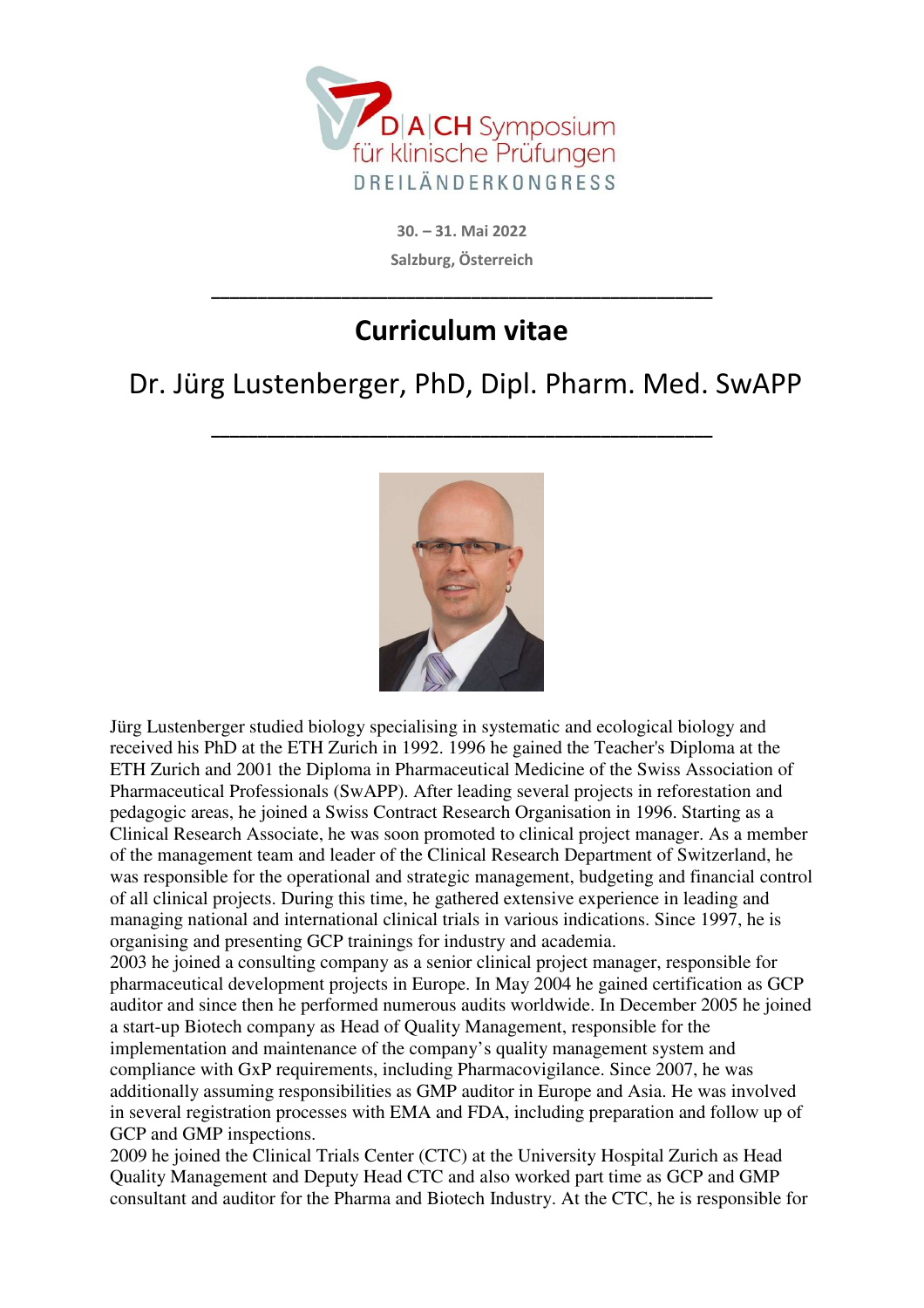

**30. – 31. Mai 2022 Salzburg, Österreich** 

## **Curriculum vitae**

**\_\_\_\_\_\_\_\_\_\_\_\_\_\_\_\_\_\_\_\_\_\_\_\_\_\_\_\_\_\_\_\_\_\_\_\_\_\_\_\_\_\_\_\_\_\_\_\_\_\_\_\_\_\_** 

## Dr. Jürg Lustenberger, PhD, Dipl. Pharm. Med. SwAPP

**\_\_\_\_\_\_\_\_\_\_\_\_\_\_\_\_\_\_\_\_\_\_\_\_\_\_\_\_\_\_\_\_\_\_\_\_\_\_\_\_\_\_\_\_\_\_\_\_\_\_\_\_\_\_** 



Jürg Lustenberger studied biology specialising in systematic and ecological biology and received his PhD at the ETH Zurich in 1992. 1996 he gained the Teacher's Diploma at the ETH Zurich and 2001 the Diploma in Pharmaceutical Medicine of the Swiss Association of Pharmaceutical Professionals (SwAPP). After leading several projects in reforestation and pedagogic areas, he joined a Swiss Contract Research Organisation in 1996. Starting as a Clinical Research Associate, he was soon promoted to clinical project manager. As a member of the management team and leader of the Clinical Research Department of Switzerland, he was responsible for the operational and strategic management, budgeting and financial control of all clinical projects. During this time, he gathered extensive experience in leading and managing national and international clinical trials in various indications. Since 1997, he is organising and presenting GCP trainings for industry and academia.

2003 he joined a consulting company as a senior clinical project manager, responsible for pharmaceutical development projects in Europe. In May 2004 he gained certification as GCP auditor and since then he performed numerous audits worldwide. In December 2005 he joined a start-up Biotech company as Head of Quality Management, responsible for the implementation and maintenance of the company's quality management system and compliance with GxP requirements, including Pharmacovigilance. Since 2007, he was additionally assuming responsibilities as GMP auditor in Europe and Asia. He was involved in several registration processes with EMA and FDA, including preparation and follow up of GCP and GMP inspections.

2009 he joined the Clinical Trials Center (CTC) at the University Hospital Zurich as Head Quality Management and Deputy Head CTC and also worked part time as GCP and GMP consultant and auditor for the Pharma and Biotech Industry. At the CTC, he is responsible for